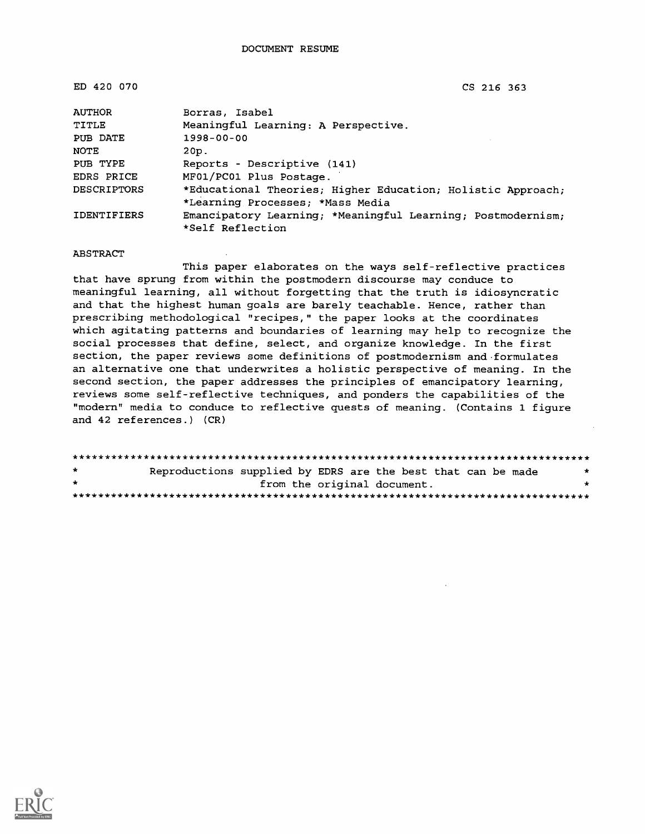ED 420 070 CS 216 363

| <b>AUTHOR</b>      | Borras, Isabel                                              |
|--------------------|-------------------------------------------------------------|
| TITLE              | Meaningful Learning: A Perspective.                         |
| PUB DATE           | $1998 - 00 - 00$                                            |
| NOTE               | 20p.                                                        |
| PUB TYPE           | Reports - Descriptive (141)                                 |
| EDRS PRICE         | MF01/PC01 Plus Postage.                                     |
| <b>DESCRIPTORS</b> | *Educational Theories; Higher Education; Holistic Approach; |
|                    | *Learning Processes; *Mass Media                            |
| <b>IDENTIFIERS</b> | Emancipatory Learning; *Meaningful Learning; Postmodernism; |
|                    | *Self Reflection                                            |

#### ABSTRACT

This paper elaborates on the ways self-reflective practices that have sprung from within the postmodern discourse may conduce to meaningful learning, all without forgetting that the truth is idiosyncratic and that the highest human goals are barely teachable. Hence, rather than prescribing methodological "recipes," the paper looks at the coordinates which agitating patterns and boundaries of learning may help to recognize the social processes that define, select, and organize knowledge. In the first section, the paper reviews some definitions of postmodernism and formulates an alternative one that underwrites a holistic perspective of meaning. In the second section, the paper addresses the principles of emancipatory learning, reviews some self-reflective techniques, and ponders the capabilities of the "modern" media to conduce to reflective quests of meaning. (Contains 1 figure and 42 references.) (CR)

| $\star$ | Reproductions supplied by EDRS are the best that can be made |  |
|---------|--------------------------------------------------------------|--|
| $\star$ | from the original document.                                  |  |
|         |                                                              |  |

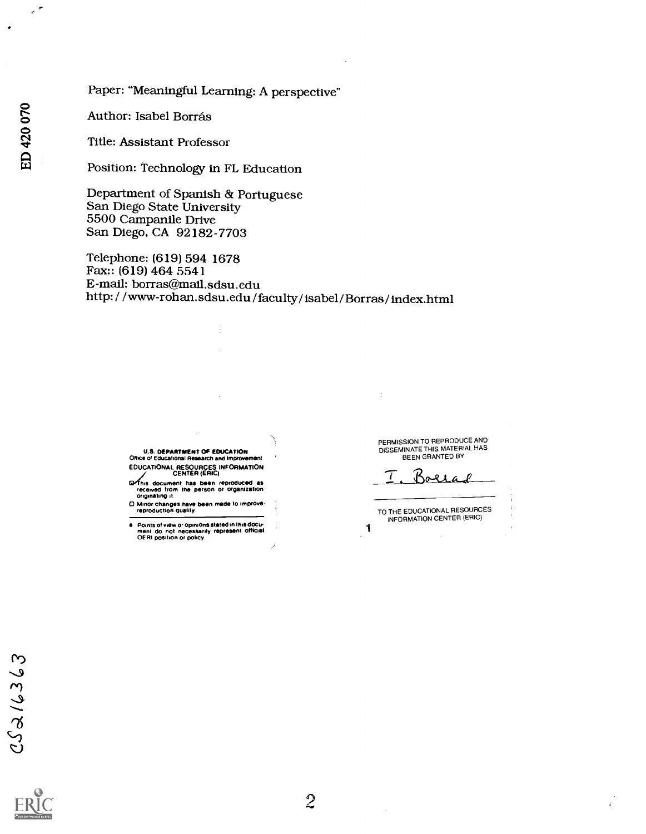## Paper: "Meaningful Learning: A perspective"

Author: Isabel Borrás

Title: Assistant Professor

Position: Technology in FL Education

Department of Spanish & Portuguese San Diego State University 5500 Campanile Drive San Diego, CA 92182-7703

Telephone: (619) 594 1678 Fax:: (619) 464 5541 E-mail: borras@mail.sdsu.edu http: / / www-rohan.sdsu.edu / faculty / Isabel / Borras / index.html

> **U.S. DEPARTMENT OF EDUCATION** Office of Educational Research and Improve EDUCATIONAL RESOURCES INFORMATION

- CENTER (ERIC) 14 document has been reproduced as received from the person or organization originating it.
- O Minor changes have been made to improve. reproduction Quality.
- Points of view or opinions stated in this docu-<br>ment-do-not-necessarily represent-official<br>OERI position or policy.

PERMISSION TO REPRODUCE AND<br>DISSEMINATE THIS MATERIAL HAS BEEN GRANTED BY

Bollad 7

TO THE EDUCATIONAL RESOURCES INFORMATION CENTER (ERIC)

1

Ŀ,

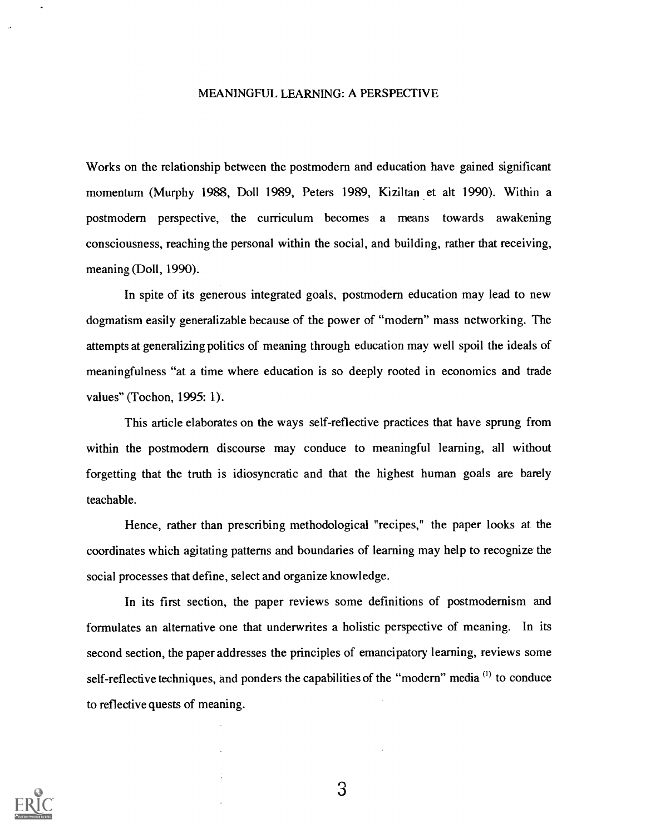#### MEANINGFUL LEARNING: A PERSPECTIVE

Works on the relationship between the postmodern and education have gained significant momentum (Murphy 1988, Doll 1989, Peters 1989, Kiziltan et alt 1990). Within a postmodern perspective, the curriculum becomes a means towards awakening consciousness, reaching the personal within the social, and building, rather that receiving, meaning (Doll, 1990).

In spite of its generous integrated goals, postmodern education may lead to new dogmatism easily generalizable because of the power of "modern" mass networking. The attempts at generalizing politics of meaning through education may well spoil the ideals of meaningfulness "at a time where education is so deeply rooted in economics and trade values" (Tochon, 1995: 1).

This article elaborates on the ways self-reflective practices that have sprung from within the postmodern discourse may conduce to meaningful learning, all without forgetting that the truth is idiosyncratic and that the highest human goals are barely teachable.

Hence, rather than prescribing methodological "recipes," the paper looks at the coordinates which agitating patterns and boundaries of learning may help to recognize the social processes that define, select and organize knowledge.

In its first section, the paper reviews some definitions of postmodernism and formulates an alternative one that underwrites a holistic perspective of meaning. In its second section, the paper addresses the principles of emancipatory learning, reviews some self-reflective techniques, and ponders the capabilities of the "modern" media <sup>(1)</sup> to conduce to reflective quests of meaning.

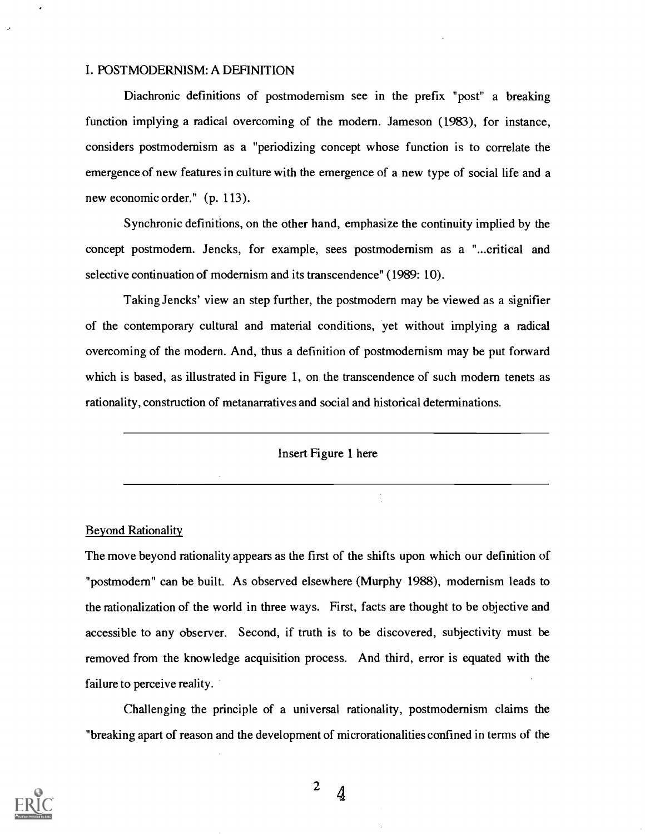### I. POSTMODERNISM: A DEFINITION

Diachronic definitions of postmodernism see in the prefix "post" a breaking function implying a radical overcoming of the modern. Jameson (1983), for instance, considers postmodernism as a "periodizing concept whose function is to correlate the emergence of new features in culture with the emergence of a new type of social life and a new economic order." (p. 113).

Synchronic definitions, on the other hand, emphasize the continuity implied by the concept postmodern. Jencks, for example, sees postmodernism as a "...critical and selective continuation of modernism and its transcendence" (1989: 10).

Taking Jencks' view an step further, the postmodern may be viewed as a signifier of the contemporary cultural and material conditions, yet without implying a radical overcoming of the modern. And, thus a definition of postmodernism may be put forward which is based, as illustrated in Figure 1, on the transcendence of such modern tenets as rationality, construction of metanarratives and social and historical determinations.

Insert Figure 1 here

Beyond Rationality

The move beyond rationality appears as the first of the shifts upon which our definition of "postmodern" can be built. As observed elsewhere (Murphy 1988), modernism leads to the rationalization of the world in three ways. First, facts are thought to be objective and accessible to any observer. Second, if truth is to be discovered, subjectivity must be removed from the knowledge acquisition process. And third, error is equated with the failure to perceive reality.

Challenging the principle of a universal rationality, postmodernism claims the "breaking apart of reason and the development of microrationalities confined in terms of the

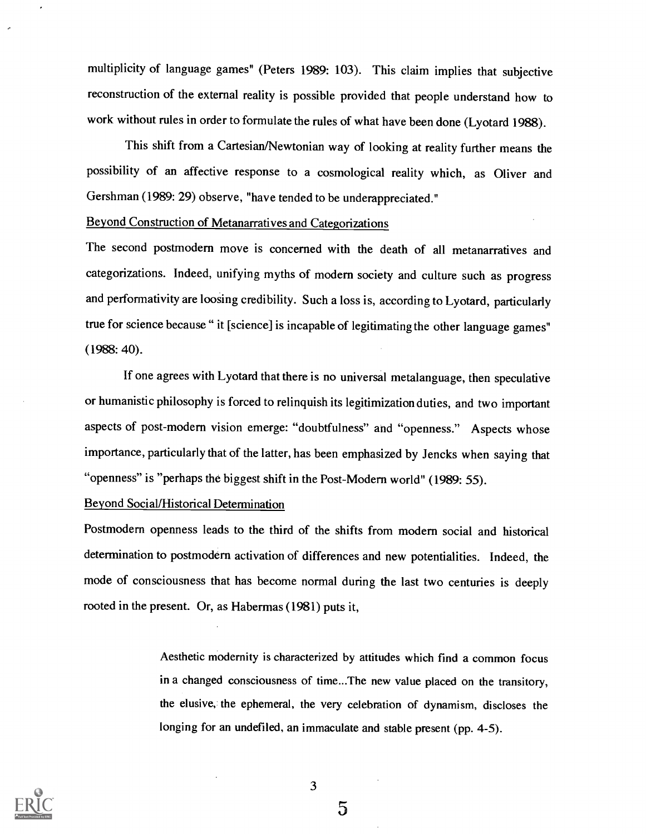multiplicity of language games" (Peters 1989: 103). This claim implies that subjective reconstruction of the external reality is possible provided that people understand how to work without rules in order to formulate the rules of what have been done (Lyotard 1988).

This shift from a Cartesian/Newtonian way of looking at reality further means the possibility of an affective response to a cosmological reality which, as Oliver and Gershman (1989: 29) observe, "have tended to be underappreciated."

## Beyond Construction of Metanarratives and Categorizations

The second postmodern move is concerned with the death of all metanarratives and categorizations. Indeed, unifying myths of modern society and culture such as progress and performativity are loosing credibility. Such a loss is, according to Lyotard, particularly true for science because " it [science] is incapable of legitimating the other language games" (1988: 40).

If one agrees with Lyotard that there is no universal metalanguage, then speculative or humanistic philosophy is forced to relinquish its legitimization duties, and two important aspects of post-modern vision emerge: "doubtfulness" and "openness." Aspects whose importance, particularly that of the latter, has been emphasized by Jencks when saying that "openness" is "perhaps the biggest shift in the Post-Modern world" (1989: 55).

### Beyond Social/Historical Determination

Postmodern openness leads to the third of the shifts from modern social and historical determination to postmodern activation of differences and new potentialities. Indeed, the mode of consciousness that has become normal during the last two centuries is deeply rooted in the present. Or, as Habermas (1981) puts it,

> Aesthetic modernity is characterized by attitudes which find a common focus in a changed consciousness of time...The new value placed on the transitory, the elusive, the ephemeral, the very celebration of dynamism, discloses the longing for an undefiled, an immaculate and stable present (pp. 4-5).

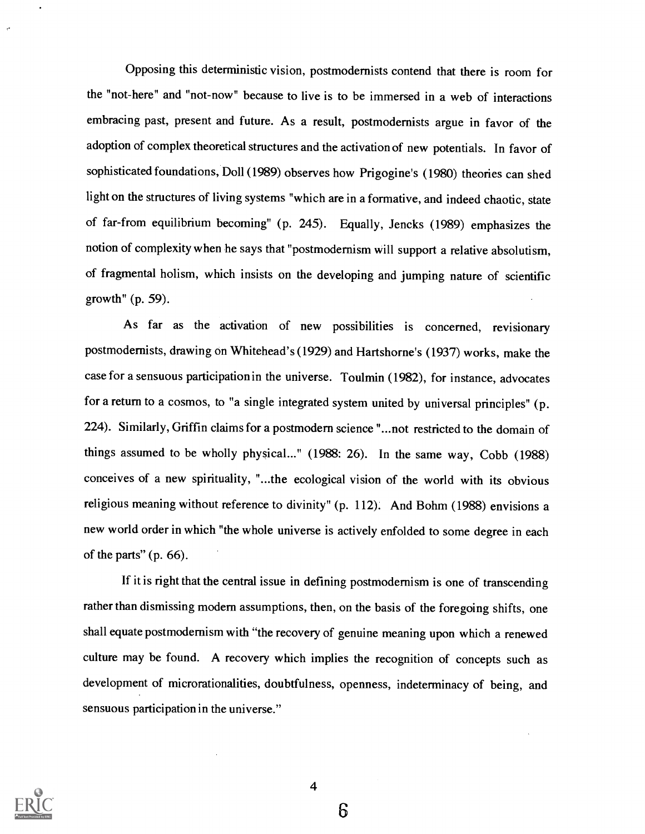Opposing this deterministic vision, postmodemists contend that there is room for the "not-here" and "not-now" because to live is to be immersed in a web of interactions embracing past, present and future. As a result, postmodernists argue in favor of the adoption of complex theoretical structures and the activation of new potentials. In favor of sophisticated foundations, Doll (1989) observes how Prigogine's (1980) theories can shed light on the structures of living systems "which are in a formative, and indeed chaotic, state of far-from equilibrium becoming" (p. 245). Equally, Jencks (1989) emphasizes the notion of complexity when he says that "postmodernism will support a relative absolutism, of fragmental holism, which insists on the developing and jumping nature of scientific growth" (p. 59).

As far as the activation of new possibilities is concerned, revisionary postmodernists, drawing on Whitehead's (1929) and Hartshorne's (1937) works, make the case for a sensuous participation in the universe. Toulmin (1982), for instance, advocates for a return to a cosmos, to "a single integrated system united by universal principles" (p. 224). Similarly, Griffin claims for a postmodern science "...not restricted to the domain of things assumed to be wholly physical..." (1988: 26). In the same way, Cobb (1988) conceives of a new spirituality, "...the ecological vision of the world with its obvious religious meaning without reference to divinity" (p. 112). And Bohm (1988) envisions a new world order in which "the whole universe is actively enfolded to some degree in each of the parts" (p. 66).

If it is right that the central issue in defining postmodernism is one of transcending rather than dismissing modern assumptions, then, on the basis of the foregoing shifts, one shall equate postmodernism with "the recovery of genuine meaning upon which a renewed culture may be found. A recovery which implies the recognition of concepts such as development of microrationalities, doubtfulness, openness, indeterminacy of being, and sensuous participation in the universe."

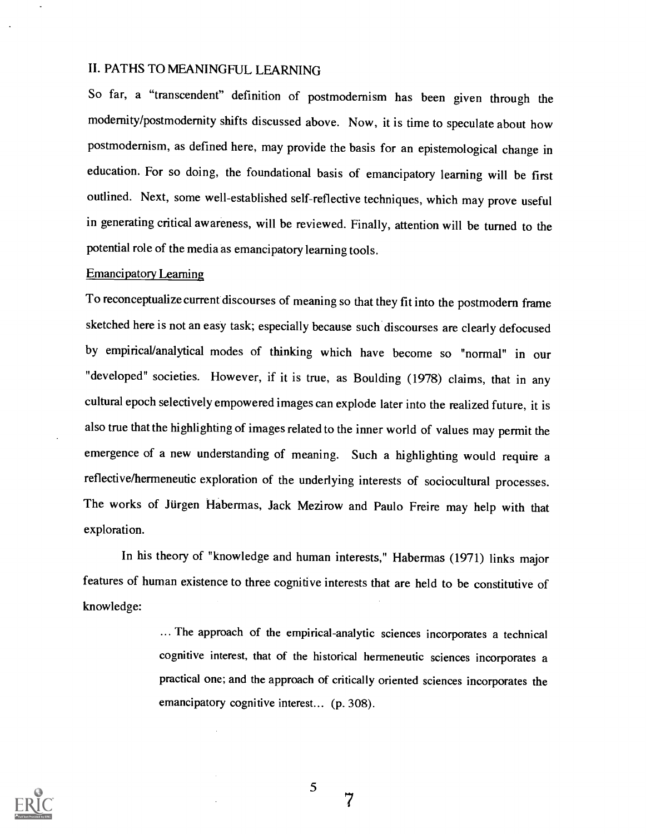## II. PATHS TO MEANINGFUL LEARNING

So far, a "transcendent" definition of postmodernism has been given through the modernity/postmodernity shifts discussed above. Now, it is time to speculate about how postmodernism, as defined here, may provide the basis for an epistemological change in education. For so doing, the foundational basis of emancipatory learning will be first outlined. Next, some well-established self-reflective techniques, which may prove useful in generating critical awareness, will be reviewed. Finally, attention will be turned to the potential role of the media as emancipatory learning tools.

### Emancipatory Learning

To reconceptualize current discourses of meaning so that they fit into the postmodern frame sketched here is not an easy task; especially because such discourses are clearly defocused by empirical/analytical modes of thinking which have become so "normal" in our "developed" societies. However, if it is true, as Boulding (1978) claims, that in any cultural epoch selectively empowered images can explode later into the realized future, it is also true that the highlighting of images related to the inner world of values may permit the emergence of a new understanding of meaning. Such a highlighting would require a reflective/hermeneutic exploration of the underlying interests of sociocultural processes. The works of Jurgen Habermas, Jack Mezirow and Paulo Freire may help with that exploration.

In his theory of "knowledge and human interests," Habermas (1971) links major features of human existence to three cognitive interests that are held to be constitutive of knowledge:

> ... The approach of the empirical-analytic sciences incorporates a technical cognitive interest, that of the historical hermeneutic sciences incorporates a practical one; and the approach of critically oriented sciences incorporates the emancipatory cognitive interest... (p. 308).



5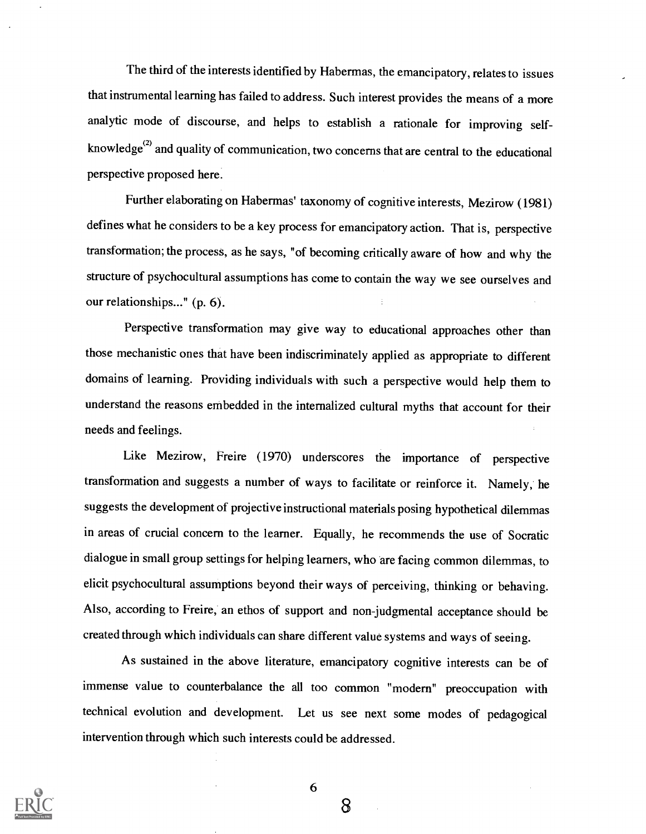The third of the interests identified by Habermas, the emancipatory, relates to issues that instrumental learning has failed to address. Such interest provides the means of a more analytic mode of discourse, and helps to establish a rationale for improving selfknowledge $^{(2)}$  and quality of communication, two concerns that are central to the educational perspective proposed here.

Further elaborating on Habermas' taxonomy of cognitive interests, Mezirow (1981) defines what he considers to be a key process for emancipatory action. That is, perspective transformation; the process, as he says, "of becoming critically aware of how and why the structure of psychocultural assumptions has come to contain the way we see ourselves and our relationships..." (p. 6).

Perspective transformation may give way to educational approaches other than those mechanistic ones that have been indiscriminately applied as appropriate to different domains of learning. Providing individuals with such a perspective would help them to understand the reasons embedded in the internalized cultural myths that account for their needs and feelings.

Like Mezirow, Freire (1970) underscores the importance of perspective transformation and suggests a number of ways to facilitate or reinforce it. Namely, he suggests the development of projective instructional materials posing hypothetical dilemmas in areas of crucial concern to the learner. Equally, he recommends the use of Socratic dialogue in small group settings for helping learners, who are facing common dilemmas, to elicit psychocultural assumptions beyond their ways of perceiving, thinking or behaving. Also, according to Freire, an ethos of support and non-judgmental acceptance should be created through which individuals can share different value systems andways of seeing.

As sustained in the above literature, emancipatory cognitive interests can be of immense value to counterbalance the all too common "modern" preoccupation with technical evolution and development. Let us see next some modes of pedagogical intervention through which such interests could be addressed.



6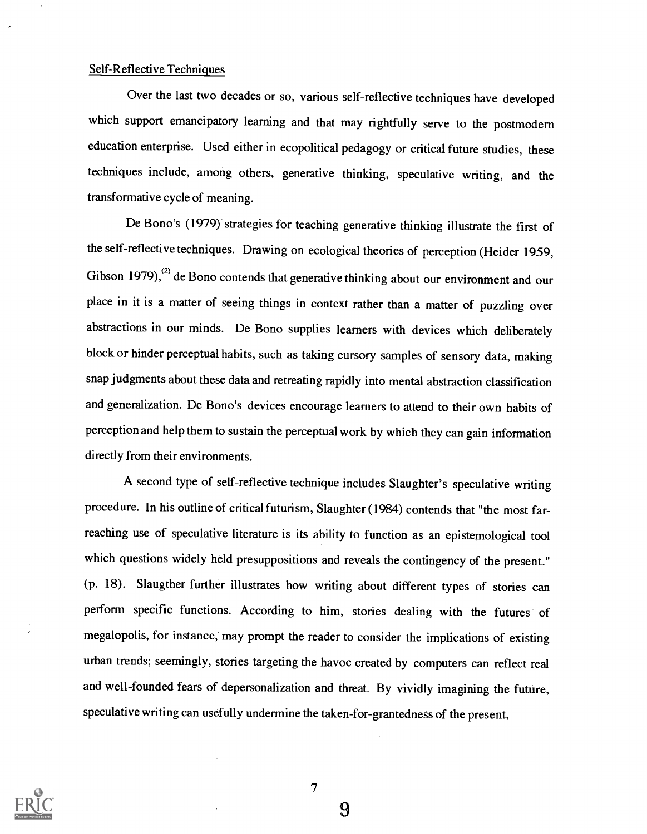#### Self-Reflective Techniques

Over the last two decades or so, various self-reflective techniques have developed which support emancipatory learning and that may rightfully serve to the postmodern education enterprise. Used either in ecopolitical pedagogy or critical future studies, these techniques include, among others, generative thinking, speculative writing, and the transformative cycle of meaning.

De Bono's (1979) strategies for teaching generative thinking illustrate the first of the self-reflective techniques. Drawing on ecological theories of perception (Heider 1959, Gibson  $1979$ ,<sup>(2)</sup> de Bono contends that generative thinking about our environment and our place in it is a matter of seeing things in context rather than a matter of puzzling over abstractions in our minds. De Bono supplies learners with devices which deliberately block or hinder perceptual habits, such as taking cursory samples of sensory data, making snap judgments about these data and retreating rapidly into mental abstraction classification and generalization. De Bono's devices encourage learners to attend to their own habits of perception and help them to sustain the perceptual work by which they can gain information directly from their environments.

A second type of self-reflective technique includes Slaughter's speculative writing procedure. In his outline of critical futurism, Slaughter (1984) contends that "the most farreaching use of speculative literature is its ability to function as an epistemological tool which questions widely held presuppositions and reveals the contingency of the present." (p. 18). Slaugther further illustrates how writing about different types of stories can perform specific functions. According to him, stories dealing with the futures of megalopolis, for instance, may prompt the reader to consider the implications of existing urban trends; seemingly, stories targeting the havoc created by computers can reflect real and well-founded fears of depersonalization and threat. By vividly imagining the future, speculative writing can usefully undermine the taken-for-grantedness of the present,



7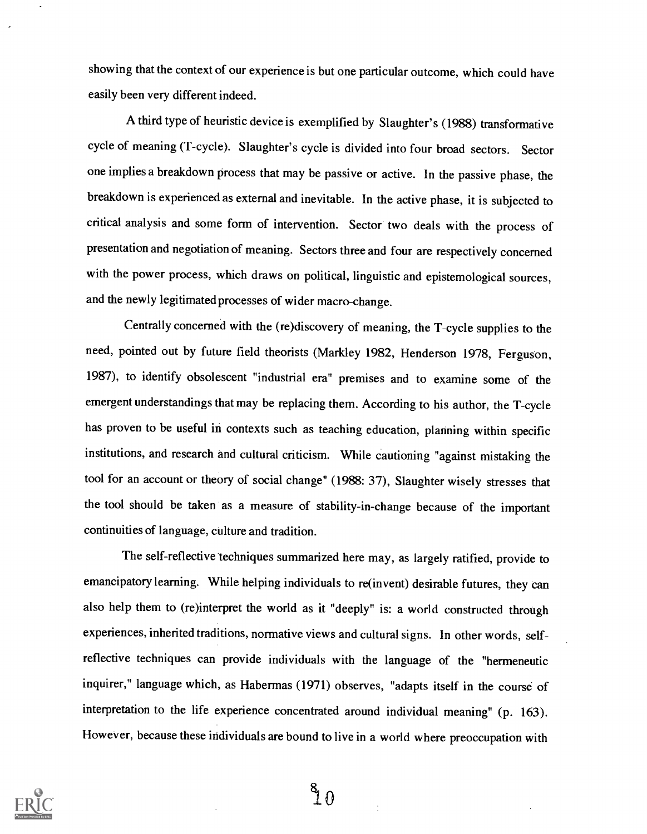showing that the context of our experience is but one particular outcome, which could have easily been very different indeed.

A third type of heuristic device is exemplified by Slaughter's (1988) transformative cycle of meaning (T-cycle). Slaughter's cycle is divided into four broad sectors. Sector one implies a breakdown process that may be passive or active. In the passive phase, the breakdown is experienced as external and inevitable. In the active phase, it is subjected to critical analysis and some form of intervention. Sector two deals with the process of presentation and negotiation of meaning. Sectors three and four are respectively concerned with the power process, which draws on political, linguistic and epistemological sources, and the newly legitimated processes of wider macro-change.

Centrally concerned with the (re)discovery of meaning, the T-cycle supplies to the need, pointed out by future field theorists (Markley 1982, Henderson 1978, Ferguson, 1987), to identify obsolescent "industrial era" premises and to examine some of the emergent understandings that may be replacing them. According to his author, the T-cycle has proven to be useful in contexts such as teaching education, planning within specific institutions, and research and cultural criticism. While cautioning "against mistaking the tool for an account or theory of social change" (1988: 37), Slaughter wisely stresses that the tool should be taken as a measure of stability-in-change because of the important continuities of language, culture and tradition.

The self-reflective techniques summarized here may, as largely ratified, provide to emancipatory learning. While helping individuals to re(invent) desirable futures, they can also help them to (re)interpret the world as it "deeply" is: a world constructed through experiences, inherited traditions, normative views and cultural signs. In other words, selfreflective techniques can provide individuals with the language of the "hermeneutic inquirer," language which, as Habermas (1971) observes, "adapts itself in the course of interpretation to the life experience concentrated around individual meaning" (p. 163). However, because these individuals are bound to live in a world where preoccupation with



 $\frac{8}{1}$   $\Omega$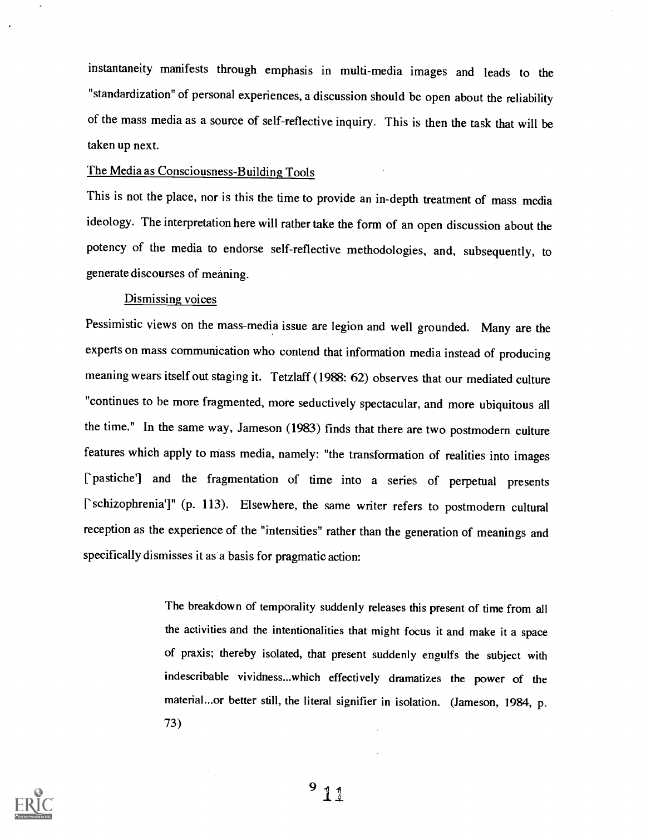instantaneity manifests through emphasis in multi-media images and leads to the "standardization" of personal experiences, a discussion should be open about the reliability of the mass media as a source of self-reflective inquiry. This is then the task that will be taken up next.

### The Media as Consciousness-Building Tools

This is not the place, nor is this the time to provide an in-depth treatment of mass media ideology. The interpretation here will rather take the form of an open discussion about the potency of the media to endorse self-reflective methodologies, and, subsequently, to generate discourses of meaning.

#### Dismissing voices

Pessimistic views on the mass-media issue are legion and well grounded. Many are the experts on mass communication who contend that information media instead of producing meaning wears itself out staging it. Tetzlaff (1988: 62) observes that our mediated culture "continues to be more fragmented, more seductively spectacular, and more ubiquitous all the time." In the same way, Jameson (1983) finds that there are two postmodern culture features which apply to mass media, namely: "the transformation of realities into images ['pastiche'] and the fragmentation of time into a series of perpetual presents ['schizophrenia']" (p. 113). Elsewhere, the same writer refers to postmodern cultural reception as the experience of the "intensities" rather than the generation of meanings and specifically dismisses it as a basis for pragmatic action:

> The breakdown of temporality suddenly releases this present of time from all the activities and the intentionalities that might focus it and make it a space of praxis; thereby isolated, that present suddenly engulfs the subject with indescribable vividness...which effectively dramatizes the power of the material...or better still, the literal signifier in isolation. (Jameson, 1984, p. 73)



 $9<sub>11</sub>$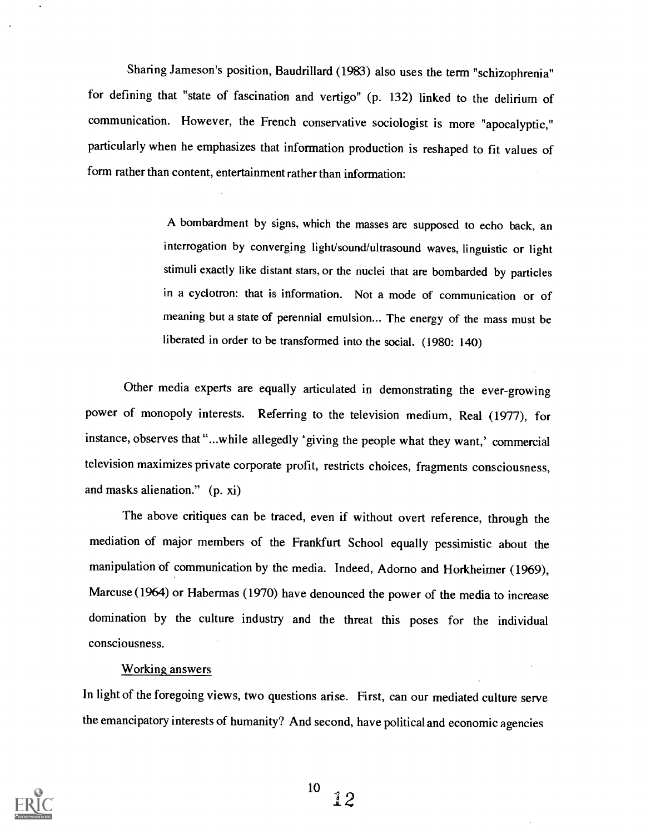Sharing Jameson's position, Baudrillard (1983) also uses the term "schizophrenia" for defining that "state of fascination and vertigo" (p. 132) linked to the delirium of communication. However, the French conservative sociologist is more "apocalyptic," particularly when he emphasizes that information production is reshaped to fit values of form rather than content, entertainment rather than information:

> A bombardment by signs, which the masses are supposed to echo back, an interrogation by converging light/sound/ultrasound waves, linguistic or light stimuli exactly like distant stars, or the nuclei that are bombarded by particles in a cyclotron: that is information. Not a mode of communication or of meaning but a state of perennial emulsion... The energy of the mass must be liberated in order to be transformed into the social. (1980: 140)

Other media experts are equally articulated in demonstrating the ever-growing power of monopoly interests. Referring to the television medium, Real (1977), for instance, observes that "...while allegedly 'giving the people what they want,' commercial television maximizes private corporate profit, restricts choices, fragments consciousness, and masks alienation." (p. xi)

The above critiques can be traced, even if without overt reference, through the mediation of major members of the Frankfurt School equally pessimistic about the manipulation of communication by the media. Indeed, Adomo and Horkheimer (1969), Marcuse (1964) or Habermas (1970) have denounced the power of the media to increase domination by the culture industry and the threat this poses for the individual consciousness.

### Working answers

In light of the foregoing views, two questions arise. First, can our mediated culture serve the emancipatory interests of humanity? And second, have political and economic agencies

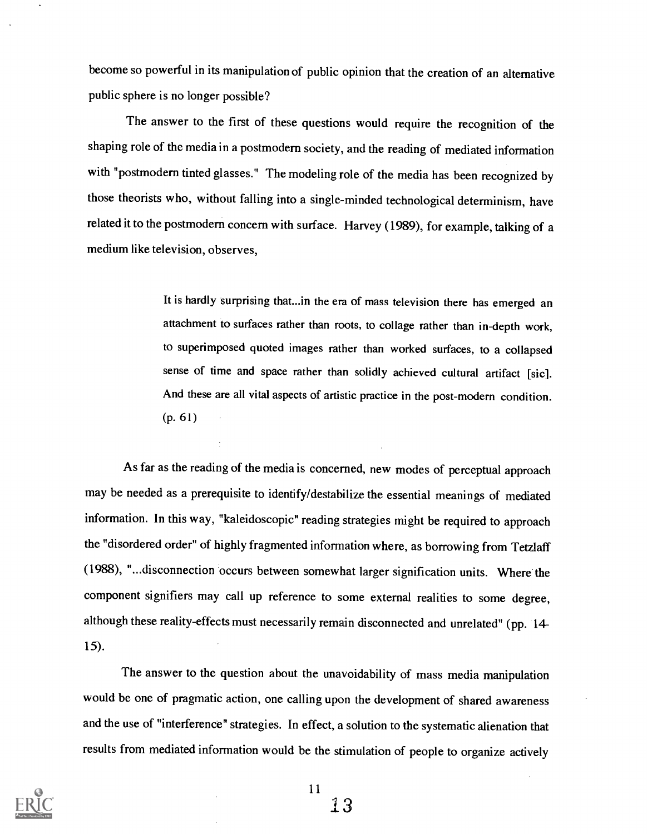become so powerful in its manipulation of public opinion that the creation of an alternative public sphere is no longer possible?

The answer to the first of these questions would require the recognition of the shaping role of the media in a postmodern society, and the reading of mediated information with "postmodern tinted glasses." The modeling role of the media has been recognized by those theorists who, without falling into a single-minded technological determinism, have related it to the postmodern concern with surface. Harvey (1989), for example, talking of a medium like television, observes,

> It is hardly surprising that...in the era of mass television there has emerged an attachment to surfaces rather than roots, to collage rather than in-depth work, to superimposed quoted images rather than worked surfaces, to a collapsed sense of time and space rather than solidly achieved cultural artifact [sic]. And these are all vital aspects of artistic practice in the post-modern condition. (p. 61)

As far as the reading of the media is concerned, new modes of perceptual approach may be needed as a prerequisite to identify/destabilize the essential meanings of mediated information. In this way, "kaleidoscopic" reading strategies might be required to approach the "disordered order" of highly fragmented information where, as borrowing from Tetzlaff (1988), "...disconnection occurs between somewhat larger signification units. Where the component signifiers may call up reference to some external realities to some degree, although these reality-effects must necessarily remain disconnected and unrelated" (pp. 14- 15).

The answer to the question about the unavoidability of mass media manipulation would be one of pragmatic action, one calling upon the development of shared awareness and the use of "interference" strategies. In effect, a solution to the systematic alienation that results from mediated information would be the stimulation of people to organize actively

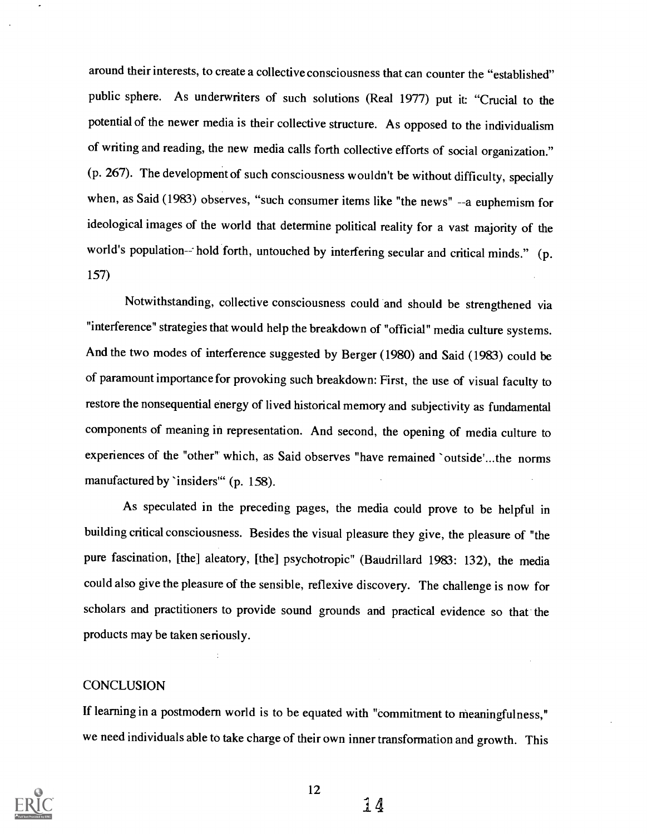around their interests, to create a collective consciousness that can counter the "established" public sphere. As underwriters of such solutions (Real 1977) put it "Crucial to the potential of the newer media is their collective structure. As opposed to the individualism of writing and reading, the new media calls forth collective efforts of social organization." (p. 267). The development of such consciousness wouldn't be without difficulty, specially when, as Said (1983) observes, "such consumer items like "the news" --a euphemism for ideological images of the world that determine political reality for a vast majority of the world's population-- hold forth, untouched by interfering secular and critical minds." (p. 157)

Notwithstanding, collective consciousness could and should be strengthened via "interference" strategies that would help the breakdown of "official" media culture systems. And the two modes of interference suggested by Berger (1980) and Said (1983) could be of paramount importance for provoking such breakdown: First, the use of visual faculty to restore the nonsequential energy of lived historical memory and subjectivity as fundamental components of meaning in representation. And second, the opening of media culture to experiences of the "other" which, as Said observes "have remained `outside'...the norms manufactured by 'insiders" (p. 158).

As speculated in the preceding pages, the media could prove to be helpful in building critical consciousness. Besides the visual pleasure they give, the pleasure of "the pure fascination, [the] aleatory, [the] psychotropic" (Baudrillard 1983: 132), the media could also give the pleasure of the sensible, reflexive discovery. The challenge is now for scholars and practitioners to provide sound grounds and practical evidence so that the products may be taken seriously.

### **CONCLUSION**

If learning in a postmodern world is to be equated with "commitment to meaningfulness," we need individuals able to take charge of their own inner transformation and growth. This



12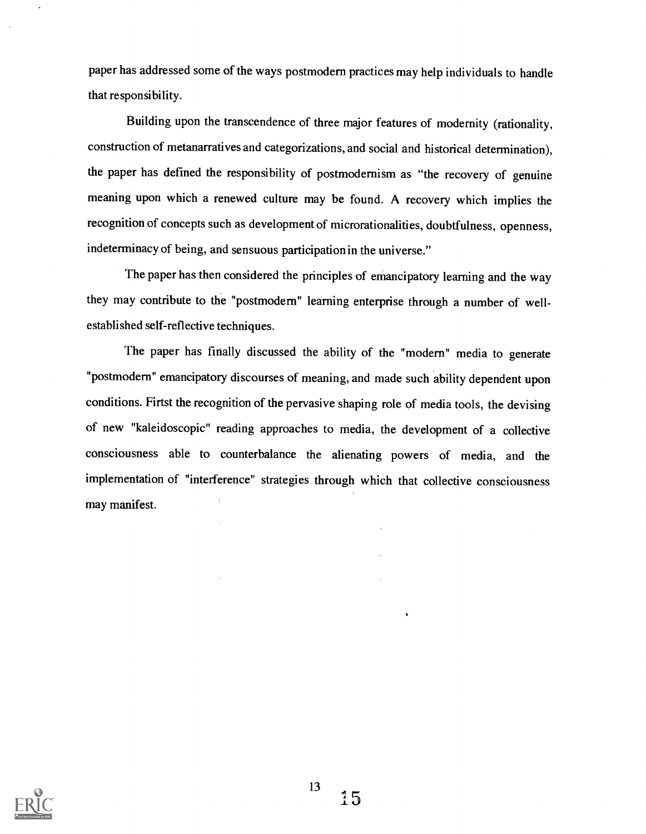paper has addressed some of the ways postmodern practices may help individuals to handle that responsibility.

Building upon the transcendence of three major features of modernity (rationality, construction of metanarratives and categorizations, and social and historical determination), the paper has defined the responsibility of postmodernism as "the recovery of genuine meaning upon which a renewed culture may be found. A recovery which implies the recognition of concepts such as development of microrationalities, doubtfulness, openness, indeterminacy of being, and sensuous participation in the universe."

The paper has then considered the principles of emancipatory learning and the way they may contribute to the "postmodern" learning enterprise through a number of wellestablished self-reflective techniques.

The paper has finally discussed the ability of the "modern" media to generate "postmodern" emancipatory discourses of meaning, and made such ability dependent upon conditions. Firtst the recognition of the pervasive shaping role of media tools, the devising of new "kaleidoscopic" reading approaches to media, the development of a collective consciousness able to counterbalance the alienating powers of media, and the implementation of "interference" strategies through which that collective consciousness may manifest.

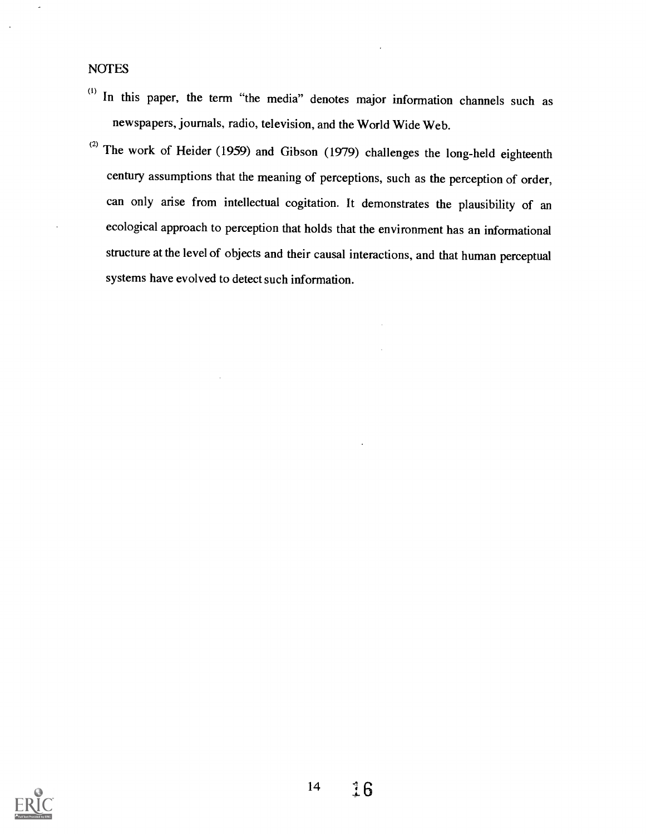- (1) In this paper, the term "the media" denotes major information channels such as newspapers, journals, radio, television, and the World Wide Web.
- (2) The work of Heider (1959) and Gibson (1979) challenges the long-held eighteenth century assumptions that the meaning of perceptions, such as the perception of order, can only arise from intellectual cogitation. It demonstrates the plausibility of an ecological approach to perception that holds that the environment has an informational structure at the level of objects and their causal interactions, and that human perceptual systems have evolved to detect such information.

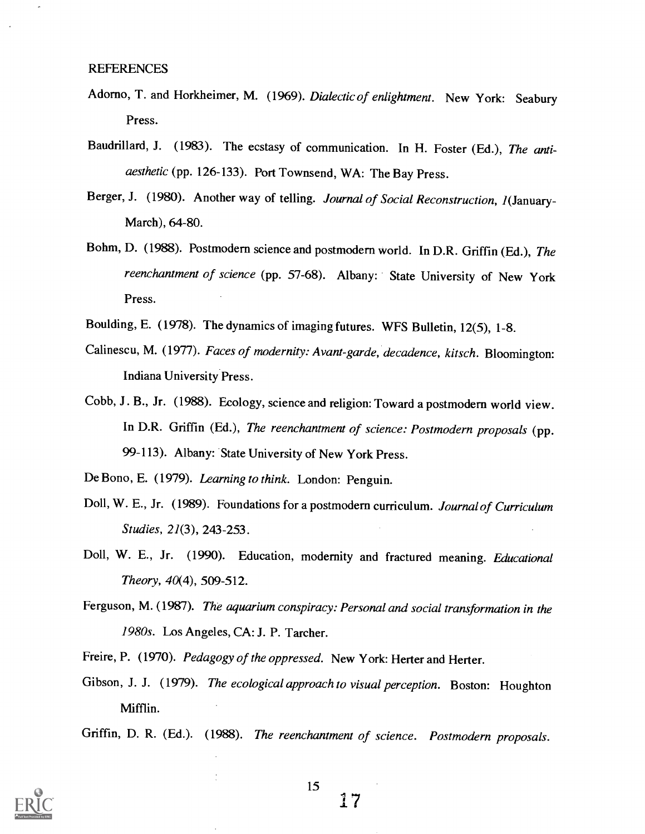- Adorno, T. and Horkheimer, M. (1969). Dialectic of enlightment. New York: Seabury Press.
- Baudrillard, J. (1983). The ecstasy of communication. In H. Foster (Ed.), The antiaesthetic (pp. 126-133). Port Townsend, WA: The Bay Press.
- Berger, J. (1980). Another way of telling. Journal of Social Reconstruction, 1(January-March), 64-80.
- Bohm, D. (1988). Postmodern science and postmodern world. In D.R. Griffin (Ed.), The reenchantment of science (pp. 57-68). Albany: State University of New York Press.
- Boulding, E. (1978). The dynamics of imaging futures. WFS Bulletin, 12(5), 1-8.
- Calinescu, M. (1977). Faces of modernity: Avant-garde, decadence, kitsch. Bloomington: Indiana University Press.
- Cobb, J. B., Jr. (1988). Ecology, science and religion: Toward a postmodern world view. In D.R. Griffin (Ed.), The reenchantment of science: Postmodern proposals (pp. 99-113). Albany: State University of New York Press.

De Bono, E. (1979). Learning to think. London: Penguin.

- Doll, W. E., Jr. (1989). Foundations for a postmodern curriculum. Journal of Curriculum Studies, 21(3), 243-253.
- Doll, W. E., Jr. (1990). Education, modernity and fractured meaning. Educational Theory, 40(4), 509-512.
- Ferguson, M. (1987). The aquarium conspiracy: Personal and social transformation in the 1980s. Los Angeles, CA: J. P. Tarcher.
- Freire, P. (1970). Pedagogy of the oppressed. New York: Herter and Herter.
- Gibson, J. J. (1979). The ecological approach to visual perception. Boston: Houghton Mifflin.
- Griffin, D. R. (Ed.). (1988). The reenchantment of science. Postmodern proposals.



15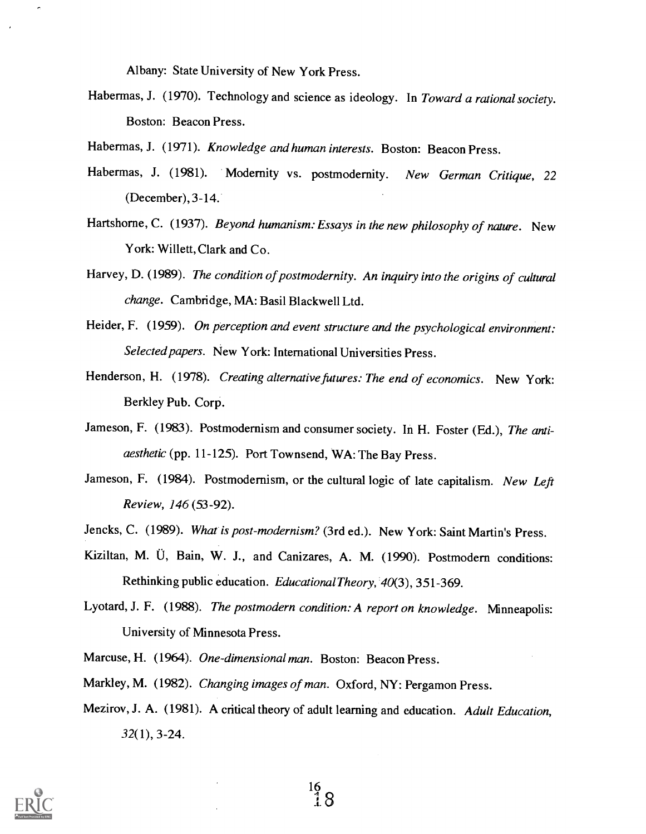Albany: State University of New York Press.

- Habermas, J. (1970). Technology and science as ideology. In Toward a rational society. Boston: Beacon Press.
- Habermas, J. (1971). Knowledge and human interests. Boston: Beacon Press.
- Habermas, J. (1981). Modernity vs. postmodernity. New German Critique, 22 (December), 3-14.
- Hartshorne, C. (1937). Beyond humanism: Essays in the new philosophy of nature. New York: Willett, Clark and Co.
- Harvey, D. (1989). The condition of postmodernity. An inquiry into the origins of cultural change. Cambridge, MA: Basil Blackwell Ltd.
- Heider, F. (1959). On perception and event structure and the psychological environment: Selected papers. New York: International Universities Press.
- Henderson, H. (1978). Creating alternative futures: The end of economics. New York: Berkley Pub. Corp.
- Jameson, F. (1983). Postmodernism and consumer society. In H. Foster (Ed.), The antiaesthetic (pp. 11-125). Port Townsend, WA: The Bay Press.
- Jameson, F. (1984). Postmodernism, or the cultural logic of late capitalism. New Left Review, 146 (53-92).
- Jencks, C. (1989). What is post-modernism? (3rd ed.). New York: Saint Martin's Press.
- Kiziltan, M. U, Bain, W. J., and Canizares, A. M. (1990). Postmodern conditions: Rethinking public education. Educational Theory, 40(3), 351-369.
- Lyotard, J. F. (1988). The postmodern condition: A report on knowledge. Minneapolis: University of Minnesota Press.
- Marcuse, H. (1964). One-dimensional man. Boston: Beacon Press.
- Markley, M. (1982). Changing images of man. Oxford, NY: Pergamon Press.
- Mezirov, J. A. (1981). A critical theory of adult learning and education. Adult Education, 32(1), 3-24.

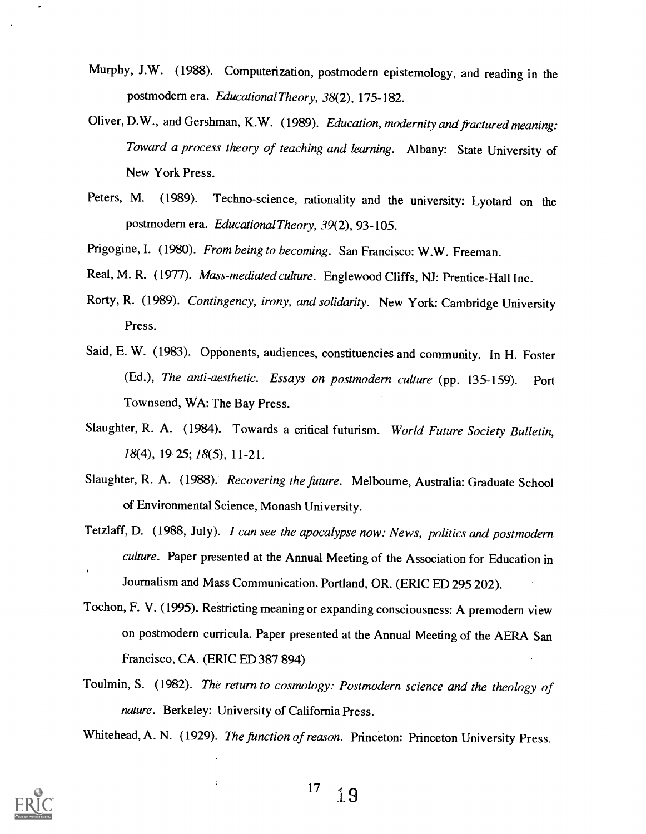- Murphy, J.W. (1988). Computerization, postmodern epistemology, and reading in the postmodern era. Educational Theory, 38(2), 175-182.
- Oliver, D.W., and Gershman, K.W. (1989). Education, modernity and fractured meaning: Toward a process theory of teaching and learning. Albany: State University of New York Press.
- Peters, M. (1989). Techno-science, rationality and the university: Lyotard on the postmodern era. Educational Theory, 39(2), 93-105.
- Prigogine, I. (1980). From being to becoming. San Francisco: W.W. Freeman.
- Real, M. R. (1977). Mass-mediated culture. Englewood Cliffs, NJ: Prentice-Hall Inc.
- Rorty, R. (1989). Contingency, irony, and solidarity. New York: Cambridge University Press.
- Said, E. W. (1983). Opponents, audiences, constituencies and community. In H. Foster (Ed.), The anti-aesthetic. Essays on postmodern culture (pp. 135-159). Port Townsend, WA: The Bay Press.
- Slaughter, R. A. (1984). Towards a critical futurism. World Future Society Bulletin, 18(4), 19-25; 18(5), 11-21.
- Slaughter, R. A. (1988). Recovering the future. Melbourne, Australia: Graduate School of Environmental Science, Monash University.
- Tetzlaff, D. (1988, July). I can see the apocalypse now: News, politics and postmodern culture. Paper presented at the Annual Meeting of the Association for Education in Journalism and Mass Communication. Portland, OR. (ERIC ED 295 202).
- Tochon, F. V. (1995). Restricting meaning or expanding consciousness: A premodern view on postmodern curricula. Paper presented at the Annual Meeting of the AERA San Francisco, CA. (ERIC ED 387 894)
- Toulmin, S. (1982). The return to cosmology: Postmodern science and the theology of nature. Berkeley: University of California Press.

Whitehead, A. N. (1929). The function of reason. Princeton: Princeton University Press.

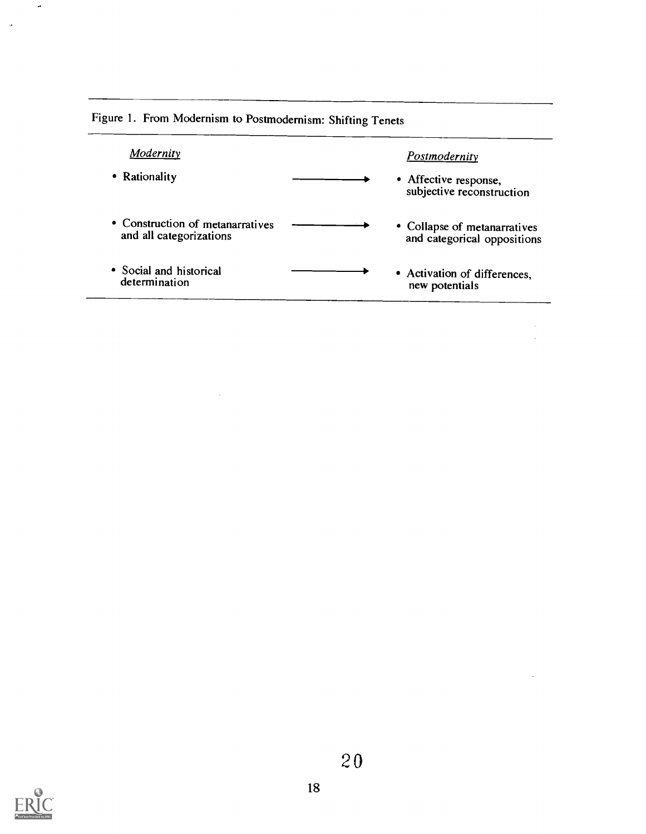| Modernity                                                   | <b>Postmodernity</b>                                        |
|-------------------------------------------------------------|-------------------------------------------------------------|
| • Rationality                                               | • Affective response,<br>subjective reconstruction          |
| • Construction of metanarratives<br>and all categorizations | • Collapse of metanarratives<br>and categorical oppositions |
| • Social and historical<br>determination                    | • Activation of differences,<br>new potentials              |

 $\bar{z}$ 

 $\ddot{\phantom{0}}$ 

Figure 1. From Modernism to Postmodernism: Shifting Tenets

 $\hat{\mathcal{A}}$ 



 $\bar{\mathbf{a}}$ 

 $\bar{\beta}$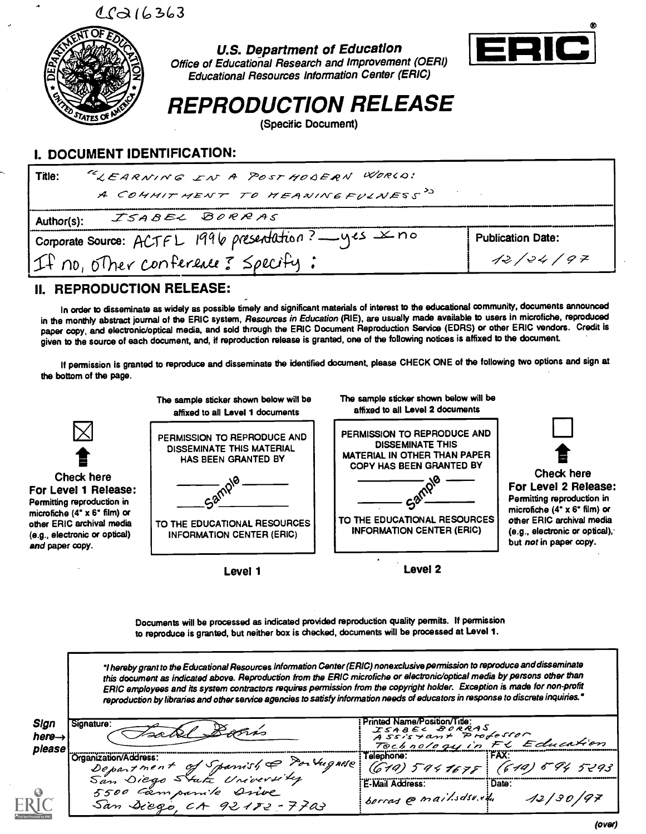$C<sub>Q</sub>$  $16363$ 



U.S. Department of Education Office of Educational Research and Improvement (OERI) Educational Resources Information Center (ERIC)



REPRODUCTION RELEASE

(Specific Document)

## I. DOCUMENT IDENTIFICATION:

| Title:     | "LEARNING IN A POST MODERN WORLD!                     |                          |  |
|------------|-------------------------------------------------------|--------------------------|--|
|            | A COMMITMENT TO MEANINGFULNESS <sup>33</sup>          |                          |  |
| Author(s): | ISABEL BORRAS                                         |                          |  |
|            | Corporate Source: ACTFL 1996 presentation? __ yes Xno | <b>Publication Date:</b> |  |
|            | If no, other conference? Specify:                     | 12/24/97                 |  |

## II. REPRODUCTION RELEASE:

In order to disseminate as widely as possible timely and significant materials of interest to the educational community, documents announced in the monthly abstract journal of the ERIC system, Resources in Education (RIE), are usually made available to users in microfiche, reproduced paper copy, and electronic/optical media, and sold through the ERIC Document Reproduction Service (EDRS) or other ERIC vendors. Credit is given to the source of each document, and, if reproduction release is granted, one of the following notices is affixed to the document.

If permission is granted to reproduce and disseminate the identified document, please CHECK ONE of the following two options and sign at the bottom of the page.



Documents will be processed as indicated provided reproduction quality permits. If permission to reproduce is granted, but neither box is checked, documents will be processed at Level 1.

'I hereby grant to the Educational Resources Information Center (ERIC) nonexclusive permission to reproduce anddisseminate this document as indicated above. Reproduction from the ERIC microfiche or electronic/optical media by persons other than ERIC employees and its system contractors requires permission from the copyright holder. Exception is made for non-profit reproduction by libraries and other service agencies to satisfy information needs of educators in response to discrete inquiries.'

| Sign<br>nere→<br>please | Signature:                                                  | Printed Name/Position/Title:<br>ISABEL BORRAS<br>Assistant Professor<br>Tochnology in FC Education |                                            |
|-------------------------|-------------------------------------------------------------|----------------------------------------------------------------------------------------------------|--------------------------------------------|
|                         | Organization/Address:<br>Department of Spanish & Portugnese | Telephone.                                                                                         | <b>FAX</b><br>(619) 5941675 (619) 594 5293 |
| RIt                     | 5500 Campanile Drive<br>San Siego CA 92182-7703             | E-Mail Address:<br>sorras @ mail.sdsv.et                                                           | : Date:<br>12/30/97                        |